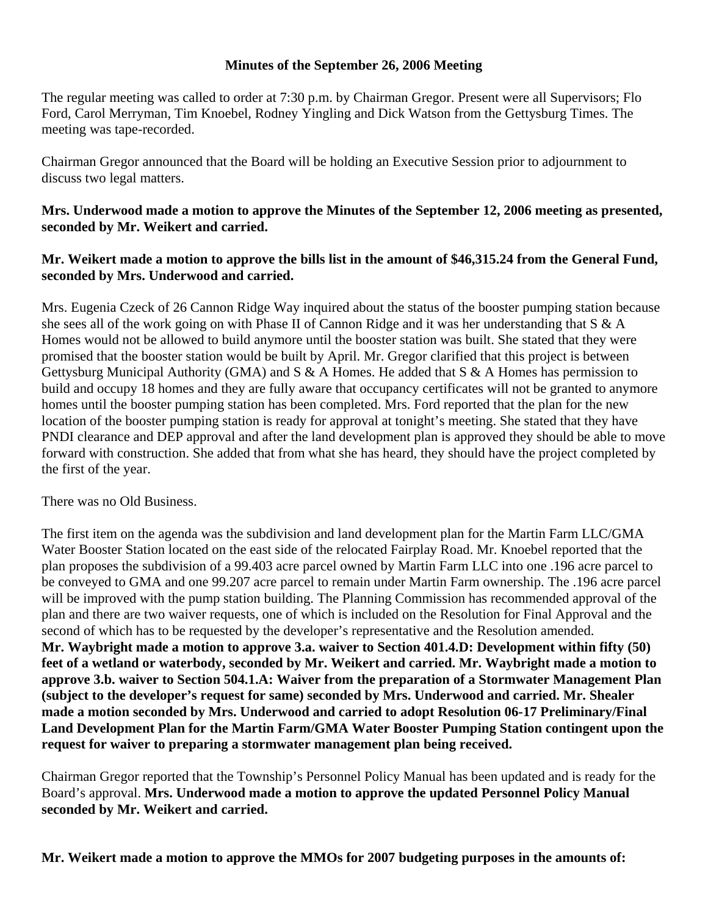## **Minutes of the September 26, 2006 Meeting**

The regular meeting was called to order at 7:30 p.m. by Chairman Gregor. Present were all Supervisors; Flo Ford, Carol Merryman, Tim Knoebel, Rodney Yingling and Dick Watson from the Gettysburg Times. The meeting was tape-recorded.

Chairman Gregor announced that the Board will be holding an Executive Session prior to adjournment to discuss two legal matters.

## **Mrs. Underwood made a motion to approve the Minutes of the September 12, 2006 meeting as presented, seconded by Mr. Weikert and carried.**

## **Mr. Weikert made a motion to approve the bills list in the amount of \$46,315.24 from the General Fund, seconded by Mrs. Underwood and carried.**

Mrs. Eugenia Czeck of 26 Cannon Ridge Way inquired about the status of the booster pumping station because she sees all of the work going on with Phase II of Cannon Ridge and it was her understanding that S & A Homes would not be allowed to build anymore until the booster station was built. She stated that they were promised that the booster station would be built by April. Mr. Gregor clarified that this project is between Gettysburg Municipal Authority (GMA) and S & A Homes. He added that S & A Homes has permission to build and occupy 18 homes and they are fully aware that occupancy certificates will not be granted to anymore homes until the booster pumping station has been completed. Mrs. Ford reported that the plan for the new location of the booster pumping station is ready for approval at tonight's meeting. She stated that they have PNDI clearance and DEP approval and after the land development plan is approved they should be able to move forward with construction. She added that from what she has heard, they should have the project completed by the first of the year.

There was no Old Business.

The first item on the agenda was the subdivision and land development plan for the Martin Farm LLC/GMA Water Booster Station located on the east side of the relocated Fairplay Road. Mr. Knoebel reported that the plan proposes the subdivision of a 99.403 acre parcel owned by Martin Farm LLC into one .196 acre parcel to be conveyed to GMA and one 99.207 acre parcel to remain under Martin Farm ownership. The .196 acre parcel will be improved with the pump station building. The Planning Commission has recommended approval of the plan and there are two waiver requests, one of which is included on the Resolution for Final Approval and the second of which has to be requested by the developer's representative and the Resolution amended. **Mr. Waybright made a motion to approve 3.a. waiver to Section 401.4.D: Development within fifty (50) feet of a wetland or waterbody, seconded by Mr. Weikert and carried. Mr. Waybright made a motion to approve 3.b. waiver to Section 504.1.A: Waiver from the preparation of a Stormwater Management Plan (subject to the developer's request for same) seconded by Mrs. Underwood and carried. Mr. Shealer made a motion seconded by Mrs. Underwood and carried to adopt Resolution 06-17 Preliminary/Final Land Development Plan for the Martin Farm/GMA Water Booster Pumping Station contingent upon the request for waiver to preparing a stormwater management plan being received.** 

Chairman Gregor reported that the Township's Personnel Policy Manual has been updated and is ready for the Board's approval. **Mrs. Underwood made a motion to approve the updated Personnel Policy Manual seconded by Mr. Weikert and carried.** 

**Mr. Weikert made a motion to approve the MMOs for 2007 budgeting purposes in the amounts of:**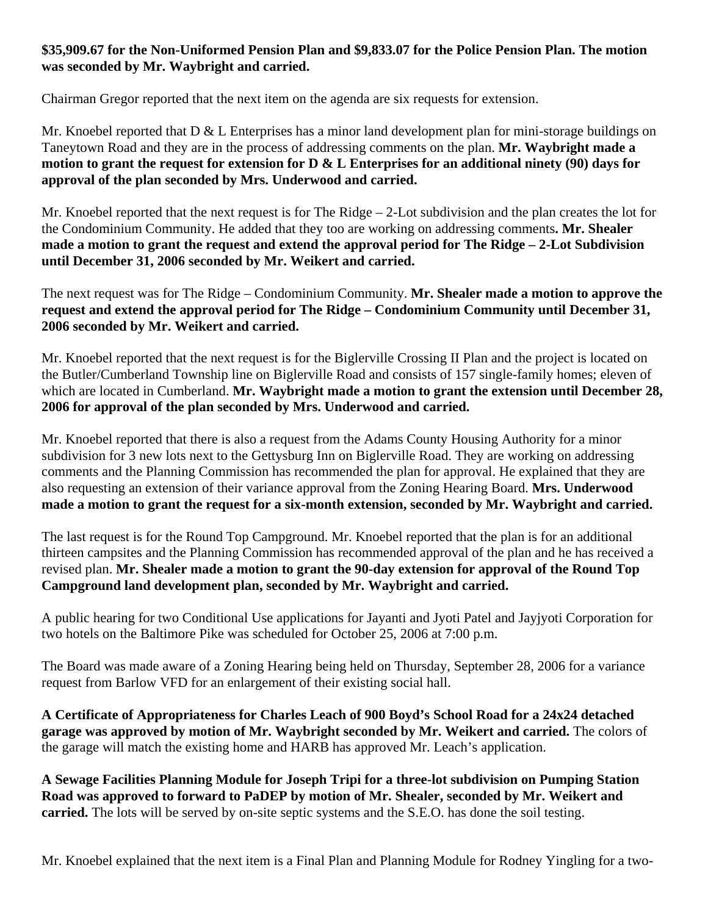## **\$35,909.67 for the Non-Uniformed Pension Plan and \$9,833.07 for the Police Pension Plan. The motion was seconded by Mr. Waybright and carried.**

Chairman Gregor reported that the next item on the agenda are six requests for extension.

Mr. Knoebel reported that  $D \& L$  Enterprises has a minor land development plan for mini-storage buildings on Taneytown Road and they are in the process of addressing comments on the plan. **Mr. Waybright made a motion to grant the request for extension for D & L Enterprises for an additional ninety (90) days for approval of the plan seconded by Mrs. Underwood and carried.** 

Mr. Knoebel reported that the next request is for The Ridge – 2-Lot subdivision and the plan creates the lot for the Condominium Community. He added that they too are working on addressing comments**. Mr. Shealer made a motion to grant the request and extend the approval period for The Ridge – 2-Lot Subdivision until December 31, 2006 seconded by Mr. Weikert and carried.** 

The next request was for The Ridge – Condominium Community. **Mr. Shealer made a motion to approve the request and extend the approval period for The Ridge – Condominium Community until December 31, 2006 seconded by Mr. Weikert and carried.** 

Mr. Knoebel reported that the next request is for the Biglerville Crossing II Plan and the project is located on the Butler/Cumberland Township line on Biglerville Road and consists of 157 single-family homes; eleven of which are located in Cumberland. **Mr. Waybright made a motion to grant the extension until December 28, 2006 for approval of the plan seconded by Mrs. Underwood and carried.** 

Mr. Knoebel reported that there is also a request from the Adams County Housing Authority for a minor subdivision for 3 new lots next to the Gettysburg Inn on Biglerville Road. They are working on addressing comments and the Planning Commission has recommended the plan for approval. He explained that they are also requesting an extension of their variance approval from the Zoning Hearing Board. **Mrs. Underwood made a motion to grant the request for a six-month extension, seconded by Mr. Waybright and carried.** 

The last request is for the Round Top Campground. Mr. Knoebel reported that the plan is for an additional thirteen campsites and the Planning Commission has recommended approval of the plan and he has received a revised plan. **Mr. Shealer made a motion to grant the 90-day extension for approval of the Round Top Campground land development plan, seconded by Mr. Waybright and carried.** 

A public hearing for two Conditional Use applications for Jayanti and Jyoti Patel and Jayjyoti Corporation for two hotels on the Baltimore Pike was scheduled for October 25, 2006 at 7:00 p.m.

The Board was made aware of a Zoning Hearing being held on Thursday, September 28, 2006 for a variance request from Barlow VFD for an enlargement of their existing social hall.

**A Certificate of Appropriateness for Charles Leach of 900 Boyd's School Road for a 24x24 detached garage was approved by motion of Mr. Waybright seconded by Mr. Weikert and carried.** The colors of the garage will match the existing home and HARB has approved Mr. Leach's application.

**A Sewage Facilities Planning Module for Joseph Tripi for a three-lot subdivision on Pumping Station Road was approved to forward to PaDEP by motion of Mr. Shealer, seconded by Mr. Weikert and carried.** The lots will be served by on-site septic systems and the S.E.O. has done the soil testing.

Mr. Knoebel explained that the next item is a Final Plan and Planning Module for Rodney Yingling for a two-